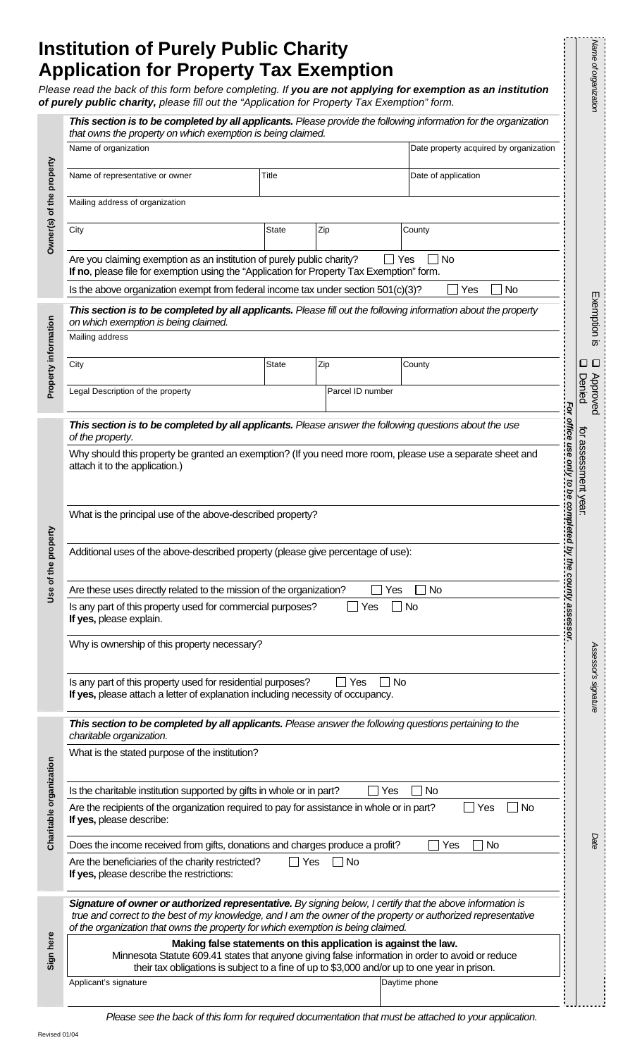# **Institution of Purely Public Charity Application for Property Tax Exemption**

|                          | Please read the back of this form before completing. If you are not applying for exemption as an institution<br>of purely public charity, please fill out the "Application for Property Tax Exemption" form.                                                                                                    |              |           |       |                     |                              | Name of organization               |
|--------------------------|-----------------------------------------------------------------------------------------------------------------------------------------------------------------------------------------------------------------------------------------------------------------------------------------------------------------|--------------|-----------|-------|---------------------|------------------------------|------------------------------------|
| Owner(s) of the property | This section is to be completed by all applicants. Please provide the following information for the organization<br>that owns the property on which exemption is being claimed.                                                                                                                                 |              |           |       |                     |                              |                                    |
|                          | Name of organization<br>Date property acquired by organization                                                                                                                                                                                                                                                  |              |           |       |                     |                              |                                    |
|                          | Name of representative or owner                                                                                                                                                                                                                                                                                 | Title        |           |       | Date of application |                              |                                    |
|                          | Mailing address of organization                                                                                                                                                                                                                                                                                 |              |           |       |                     |                              |                                    |
|                          | City                                                                                                                                                                                                                                                                                                            | State        | Zip       |       | County              |                              |                                    |
|                          | Are you claiming exemption as an institution of purely public charity?<br>If no, please file for exemption using the "Application for Property Tax Exemption" form.                                                                                                                                             |              |           | l Yes | <b>No</b>           |                              |                                    |
|                          | Is the above organization exempt from federal income tax under section 501(c)(3)?                                                                                                                                                                                                                               |              |           |       | <b>No</b><br>Yes    |                              |                                    |
| Property information     | This section is to be completed by all applicants. Please fill out the following information about the property<br>on which exemption is being claimed.                                                                                                                                                         |              |           |       |                     |                              | Exemption is                       |
|                          | Mailing address                                                                                                                                                                                                                                                                                                 |              |           |       |                     |                              |                                    |
|                          | City                                                                                                                                                                                                                                                                                                            | <b>State</b> | Zip       |       | County              |                              | $\Box$<br>$\overline{\phantom{a}}$ |
|                          | Legal Description of the property<br>Parcel ID number                                                                                                                                                                                                                                                           |              |           |       |                     | For office use only to be co | Approved<br>Denied                 |
| Use of the property      | This section is to be completed by all applicants. Please answer the following questions about the use                                                                                                                                                                                                          |              |           |       |                     |                              |                                    |
|                          | of the property.<br>Why should this property be granted an exemption? (If you need more room, please use a separate sheet and                                                                                                                                                                                   |              |           |       |                     |                              |                                    |
|                          | attach it to the application.)                                                                                                                                                                                                                                                                                  |              |           |       |                     |                              | for assessment yea                 |
|                          |                                                                                                                                                                                                                                                                                                                 |              |           |       |                     |                              |                                    |
|                          | What is the principal use of the above-described property?                                                                                                                                                                                                                                                      |              |           |       |                     |                              |                                    |
|                          | Additional uses of the above-described property (please give percentage of use):                                                                                                                                                                                                                                |              |           |       |                     |                              |                                    |
|                          | No<br>Are these uses directly related to the mission of the organization?<br>Yes                                                                                                                                                                                                                                |              |           |       |                     |                              |                                    |
|                          | Is any part of this property used for commercial purposes?<br><b>No</b><br>Yes<br>If yes, please explain.                                                                                                                                                                                                       |              |           |       |                     |                              |                                    |
|                          | Why is ownership of this property necessary?                                                                                                                                                                                                                                                                    |              |           |       |                     |                              |                                    |
|                          | Is any part of this property used for residential purposes?<br>Yes<br>No                                                                                                                                                                                                                                        |              |           |       |                     |                              | Assessor's signature               |
|                          | If yes, please attach a letter of explanation including necessity of occupancy.                                                                                                                                                                                                                                 |              |           |       |                     |                              |                                    |
|                          | This section to be completed by all applicants. Please answer the following questions pertaining to the<br>charitable organization.                                                                                                                                                                             |              |           |       |                     |                              |                                    |
|                          | What is the stated purpose of the institution?                                                                                                                                                                                                                                                                  |              |           |       |                     |                              |                                    |
|                          | Is the charitable institution supported by gifts in whole or in part?<br>Yes<br>No                                                                                                                                                                                                                              |              |           |       |                     |                              |                                    |
|                          | Are the recipients of the organization required to pay for assistance in whole or in part?<br><b>No</b><br>Yes<br>If yes, please describe:                                                                                                                                                                      |              |           |       |                     |                              |                                    |
|                          |                                                                                                                                                                                                                                                                                                                 |              |           |       |                     |                              |                                    |
| Charitable organization  | Does the income received from gifts, donations and charges produce a profit?                                                                                                                                                                                                                                    |              |           |       | Yes<br>No           |                              | Date                               |
|                          | Are the beneficiaries of the charity restricted?<br>If yes, please describe the restrictions:                                                                                                                                                                                                                   |              | Yes<br>No |       |                     |                              |                                    |
| Sign here                | Signature of owner or authorized representative. By signing below, I certify that the above information is<br>true and correct to the best of my knowledge, and I am the owner of the property or authorized representative<br>of the organization that owns the property for which exemption is being claimed. |              |           |       |                     |                              |                                    |

*Please see the back of this form for required documentation that must be attached to your application.*